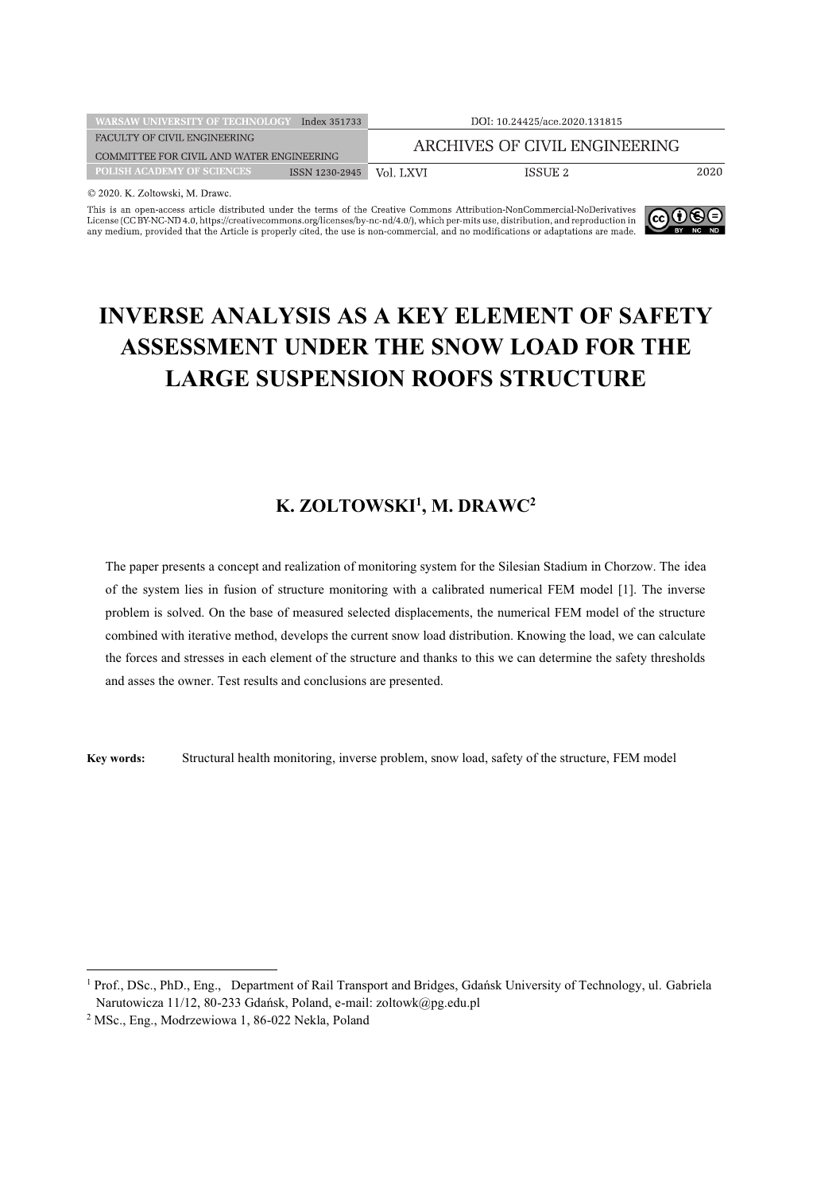| <b>WARSAW UNIVERSITY OF TECHNOLOGY</b>    | Index 351733   |                               | DOI: 10.24425/ace.2020.131815 |      |
|-------------------------------------------|----------------|-------------------------------|-------------------------------|------|
| FACULTY OF CIVIL ENGINEERING              |                | ARCHIVES OF CIVIL ENGINEERING |                               |      |
| COMMITTEE FOR CIVIL AND WATER ENGINEERING |                |                               |                               |      |
| <b>POLISH ACADEMY OF SCIENCES</b>         | ISSN 1230-2945 | Vol. LXVI                     | ISSUE 2                       | 2020 |
|                                           |                |                               |                               |      |

C 2020. K. Zoltowski, M. Drawc.

This is an open-access article distributed under the terms of the Creative Commons Attribution-NonCommercial-NoDerivatives<br>License (CCBY-NO-A), the component of the common solution and the approximate and mediator and rep



# **INVERSE ANALYSIS AS A KEY ELEMENT OF SAFETY** ASSESSMENT UNDER THE SNOW LOAD FOR THE **LARGE SUSPENSION ROOFS STRUCTURE**

### K. ZOLTOWSKI<sup>1</sup>, M. DRAWC<sup>2</sup>

The paper presents a concept and realization of monitoring system for the Silesian Stadium in Chorzow. The idea of the system lies in fusion of structure monitoring with a calibrated numerical FEM model [1]. The inverse problem is solved. On the base of measured selected displacements, the numerical FEM model of the structure combined with iterative method, develops the current snow load distribution. Knowing the load, we can calculate the forces and stresses in each element of the structure and thanks to this we can determine the safety thresholds and asses the owner. Test results and conclusions are presented.

Key words: Structural health monitoring, inverse problem, snow load, safety of the structure, FEM model

<sup>&</sup>lt;sup>1</sup> Prof., DSc., PhD., Eng., Department of Rail Transport and Bridges, Gdańsk University of Technology, ul. Gabriela Narutowicza 11/12, 80-233 Gdańsk, Poland, e-mail: zoltowk@pg.edu.pl

<sup>&</sup>lt;sup>2</sup> MSc., Eng., Modrzewiowa 1, 86-022 Nekla, Poland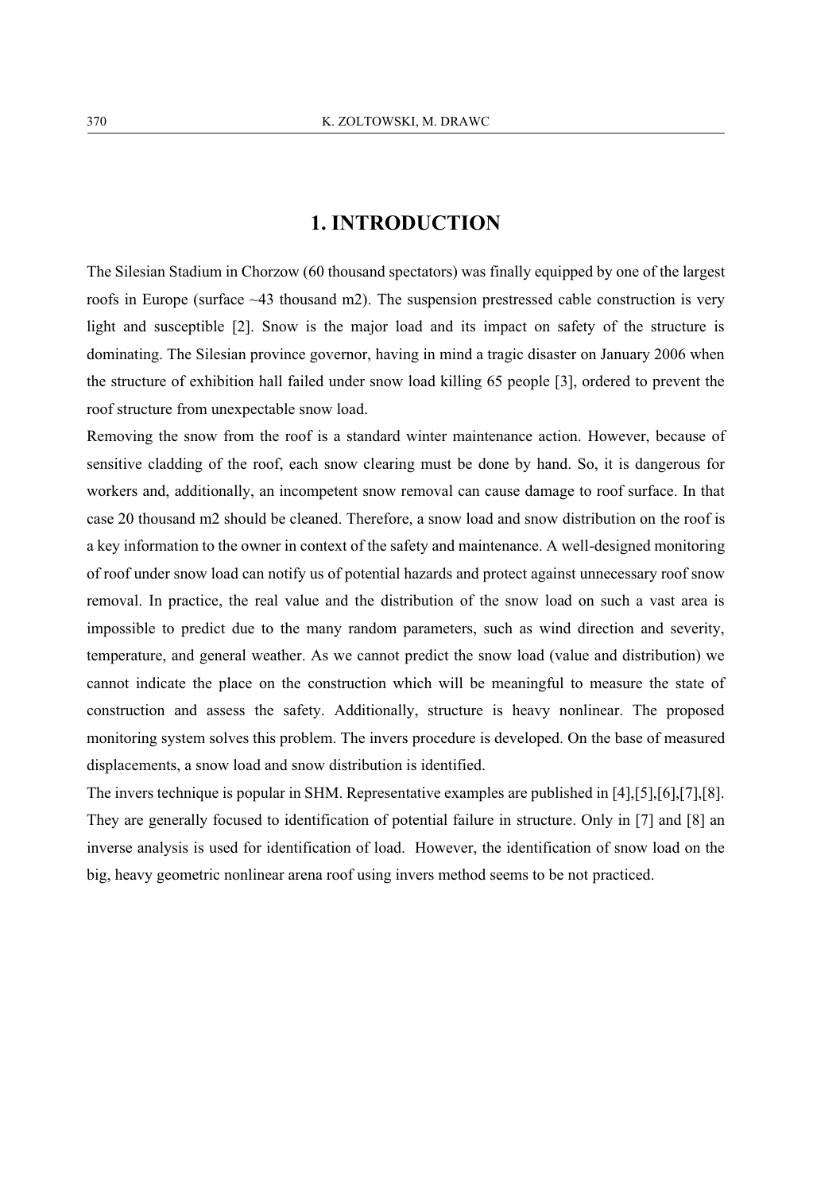# **1. INTRODUCTION**

The Silesian Stadium in Chorzow (60 thousand spectators) was finally equipped by one of the largest roofs in Europe (surface  $\sim$  43 thousand m2). The suspension prestressed cable construction is very light and susceptible [2]. Snow is the major load and its impact on safety of the structure is dominating. The Silesian province governor, having in mind a tragic disaster on January 2006 when the structure of exhibition hall failed under snow load killing 65 people [3], ordered to prevent the roof structure from unexpectable snow load.

Removing the snow from the roof is a standard winter maintenance action. However, because of sensitive cladding of the roof, each snow clearing must be done by hand. So, it is dangerous for workers and, additionally, an incompetent snow removal can cause damage to roof surface. In that case 20 thousand m2 should be cleaned. Therefore, a snow load and snow distribution on the roof is a key information to the owner in context of the safety and maintenance. A well-designed monitoring of roof under snow load can notify us of potential hazards and protect against unnecessary roof snow removal. In practice, the real value and the distribution of the snow load on such a vast area is impossible to predict due to the many random parameters, such as wind direction and severity, temperature, and general weather. As we cannot predict the snow load (value and distribution) we cannot indicate the place on the construction which will be meaningful to measure the state of construction and assess the safety. Additionally, structure is heavy nonlinear. The proposed monitoring system solves this problem. The invers procedure is developed. On the base of measured displacements, a snow load and snow distribution is identified.

The invers technique is popular in SHM. Representative examples are published in  $[4]$ ,  $[5]$ ,  $[6]$ ,  $[7]$ ,  $[8]$ . They are generally focused to identification of potential failure in structure. Only in [7] and [8] an inverse analysis is used for identification of load. However, the identification of snow load on the big, heavy geometric nonlinear arena roof using invers method seems to be not practiced.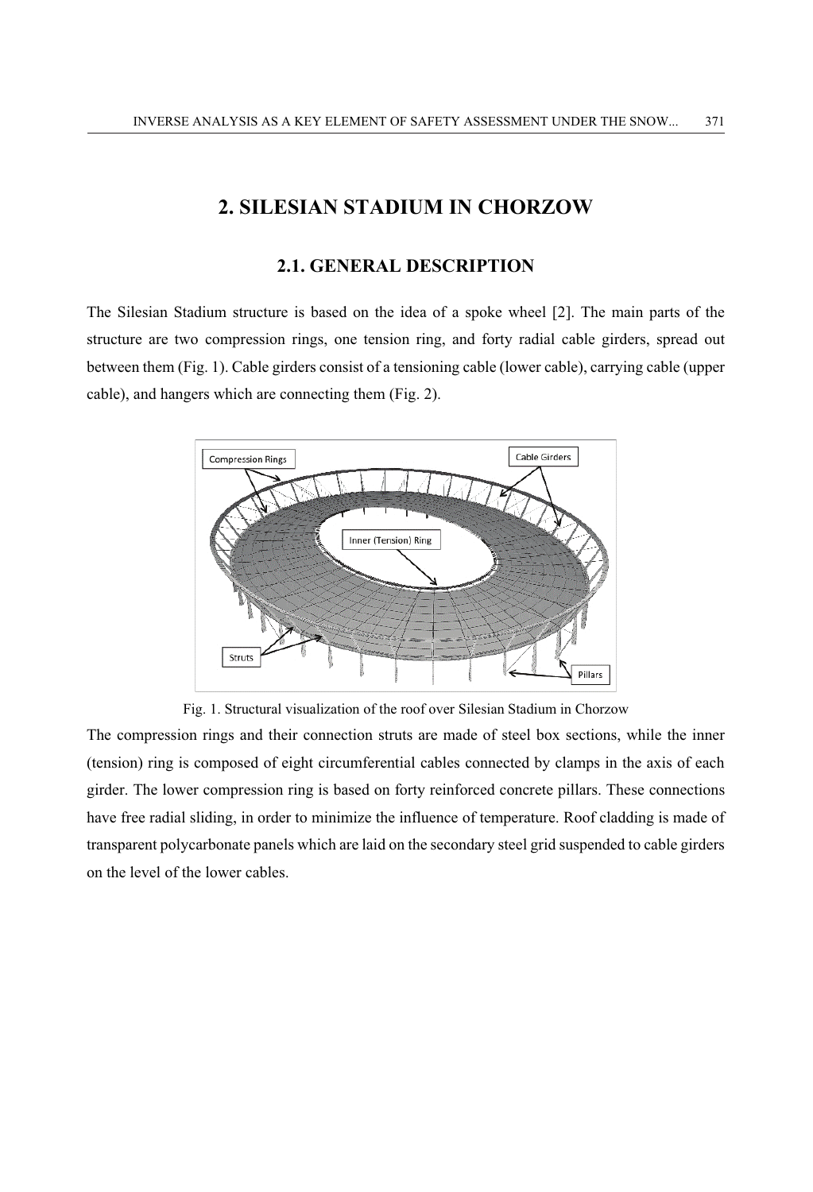## 2. SILESIAN STADIUM IN CHORZOW

### 2.1. GENERAL DESCRIPTION

The Silesian Stadium structure is based on the idea of a spoke wheel [2]. The main parts of the structure are two compression rings, one tension ring, and forty radial cable girders, spread out between them (Fig. 1). Cable girders consist of a tensioning cable (lower cable), carrying cable (upper cable), and hangers which are connecting them (Fig. 2).



Fig. 1. Structural visualization of the roof over Silesian Stadium in Chorzow

The compression rings and their connection struts are made of steel box sections, while the inner (tension) ring is composed of eight circumferential cables connected by clamps in the axis of each girder. The lower compression ring is based on forty reinforced concrete pillars. These connections have free radial sliding, in order to minimize the influence of temperature. Roof cladding is made of transparent polycarbonate panels which are laid on the secondary steel grid suspended to cable girders on the level of the lower cables.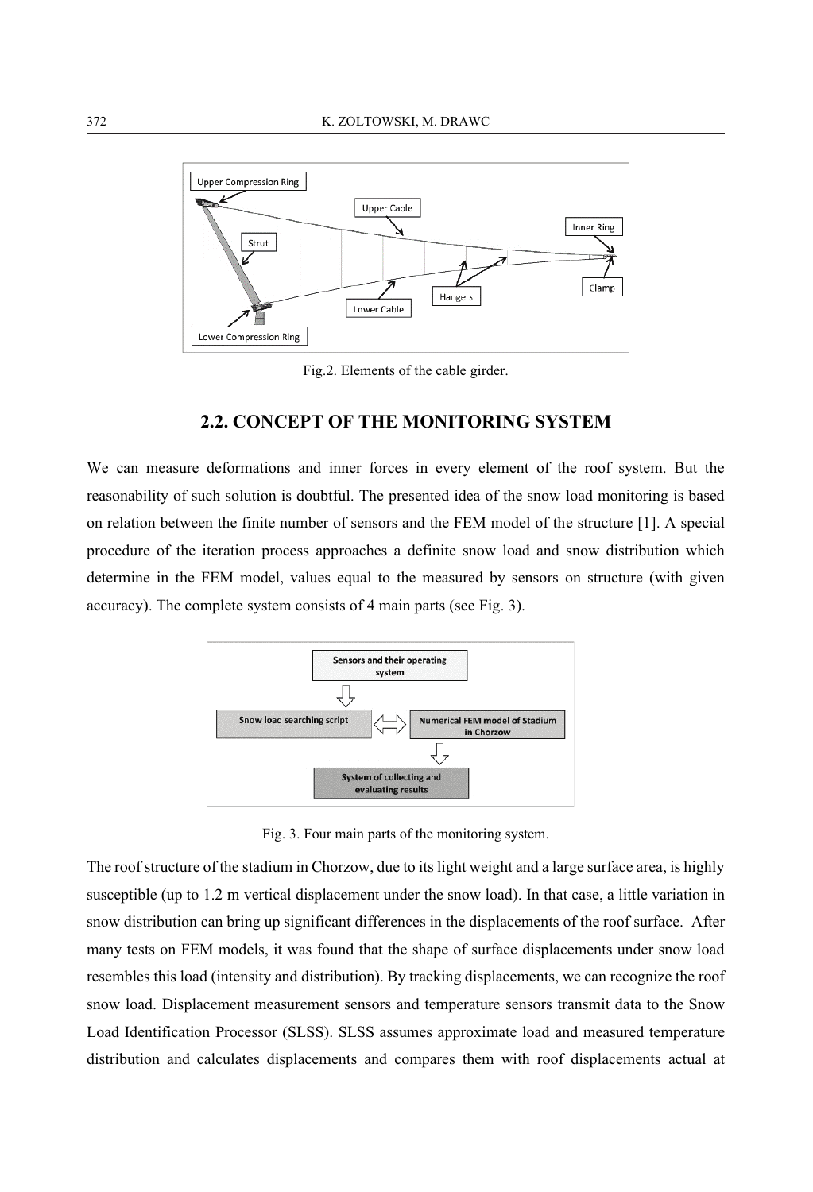

Fig.2. Elements of the cable girder.

### **2.2. CONCEPT OF THE MONITORING SYSTEM**

We can measure deformations and inner forces in every element of the roof system. But the reasonability of such solution is doubtful. The presented idea of the snow load monitoring is based on relation between the finite number of sensors and the FEM model of the structure [1]. A special procedure of the iteration process approaches a definite snow load and snow distribution which determine in the FEM model, values equal to the measured by sensors on structure (with given accuracy). The complete system consists of 4 main parts (see Fig. 3).



Fig. 3. Four main parts of the monitoring system.

The roof structure of the stadium in Chorzow, due to its light weight and a large surface area, is highly susceptible (up to 1.2 m vertical displacement under the snow load). In that case, a little variation in snow distribution can bring up significant differences in the displacements of the roof surface. After many tests on FEM models, it was found that the shape of surface displacements under snow load resembles this load (intensity and distribution). By tracking displacements, we can recognize the roof snow load. Displacement measurement sensors and temperature sensors transmit data to the Snow Load Identification Processor (SLSS). SLSS assumes approximate load and measured temperature distribution and calculates displacements and compares them with roof displacements actual at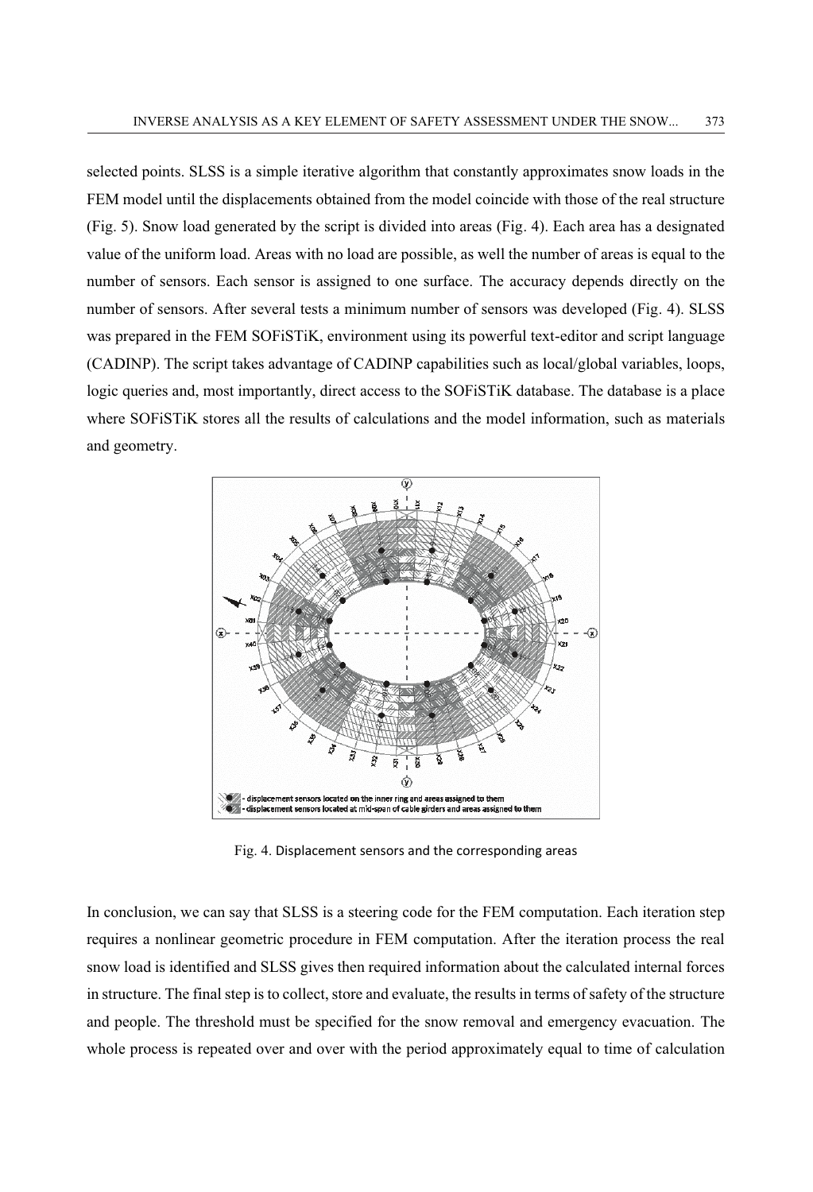selected points. SLSS is a simple iterative algorithm that constantly approximates snow loads in the FEM model until the displacements obtained from the model coincide with those of the real structure (Fig. 5). Snow load generated by the script is divided into areas (Fig. 4). Each area has a designated value of the uniform load. Areas with no load are possible, as well the number of areas is equal to the number of sensors. Each sensor is assigned to one surface. The accuracy depends directly on the number of sensors. After several tests a minimum number of sensors was developed (Fig. 4). SLSS was prepared in the FEM SOFiSTIK, environment using its powerful text-editor and script language (CADINP). The script takes advantage of CADINP capabilities such as local/global variables, loops, logic queries and, most importantly, direct access to the SOFiSTIK database. The database is a place where SOFISTIK stores all the results of calculations and the model information, such as materials and geometry.



Fig. 4. Displacement sensors and the corresponding areas

In conclusion, we can say that SLSS is a steering code for the FEM computation. Each iteration step requires a nonlinear geometric procedure in FEM computation. After the iteration process the real snow load is identified and SLSS gives then required information about the calculated internal forces in structure. The final step is to collect, store and evaluate, the results in terms of safety of the structure and people. The threshold must be specified for the snow removal and emergency evacuation. The whole process is repeated over and over with the period approximately equal to time of calculation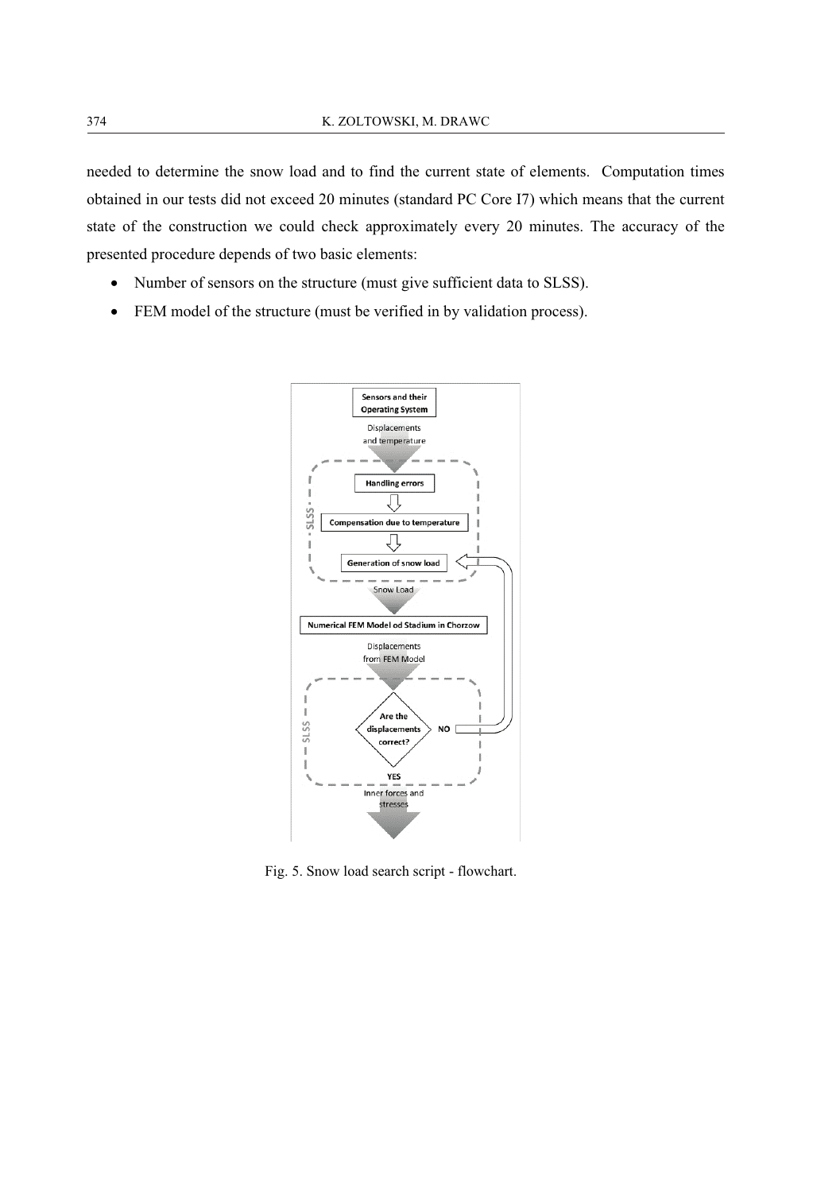needed to determine the snow load and to find the current state of elements. Computation times obtained in our tests did not exceed 20 minutes (standard PC Core I7) which means that the current state of the construction we could check approximately every 20 minutes. The accuracy of the presented procedure depends of two basic elements:

- Number of sensors on the structure (must give sufficient data to SLSS).  $\bullet$
- FEM model of the structure (must be verified in by validation process).  $\bullet$



Fig. 5. Snow load search script - flowchart.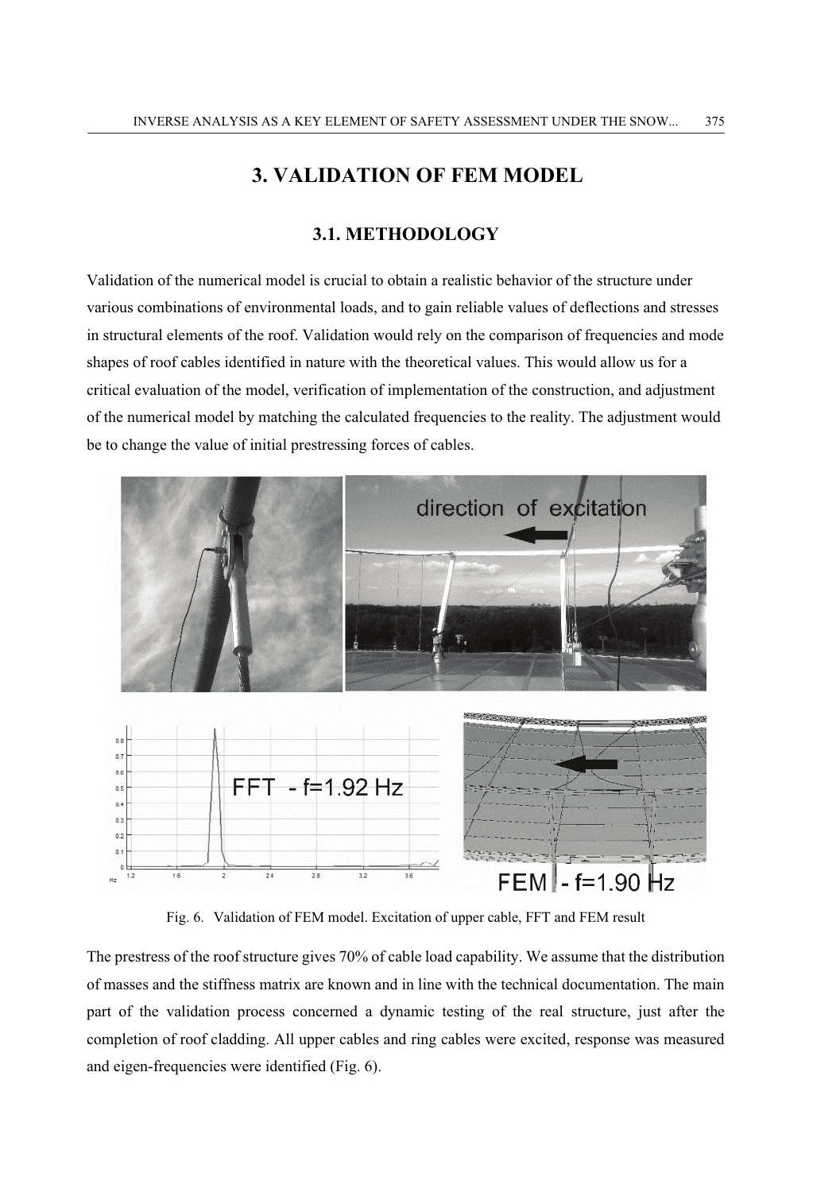# **3. VALIDATION OF FEM MODEL**

### 3.1. METHODOLOGY

Validation of the numerical model is crucial to obtain a realistic behavior of the structure under various combinations of environmental loads, and to gain reliable values of deflections and stresses in structural elements of the roof. Validation would rely on the comparison of frequencies and mode shapes of roof cables identified in nature with the theoretical values. This would allow us for a critical evaluation of the model, verification of implementation of the construction, and adjustment of the numerical model by matching the calculated frequencies to the reality. The adjustment would be to change the value of initial prestressing forces of cables.



Fig. 6. Validation of FEM model. Excitation of upper cable, FFT and FEM result

The prestress of the roof structure gives 70% of cable load capability. We assume that the distribution of masses and the stiffness matrix are known and in line with the technical documentation. The main part of the validation process concerned a dynamic testing of the real structure, just after the completion of roof cladding. All upper cables and ring cables were excited, response was measured and eigen-frequencies were identified (Fig. 6).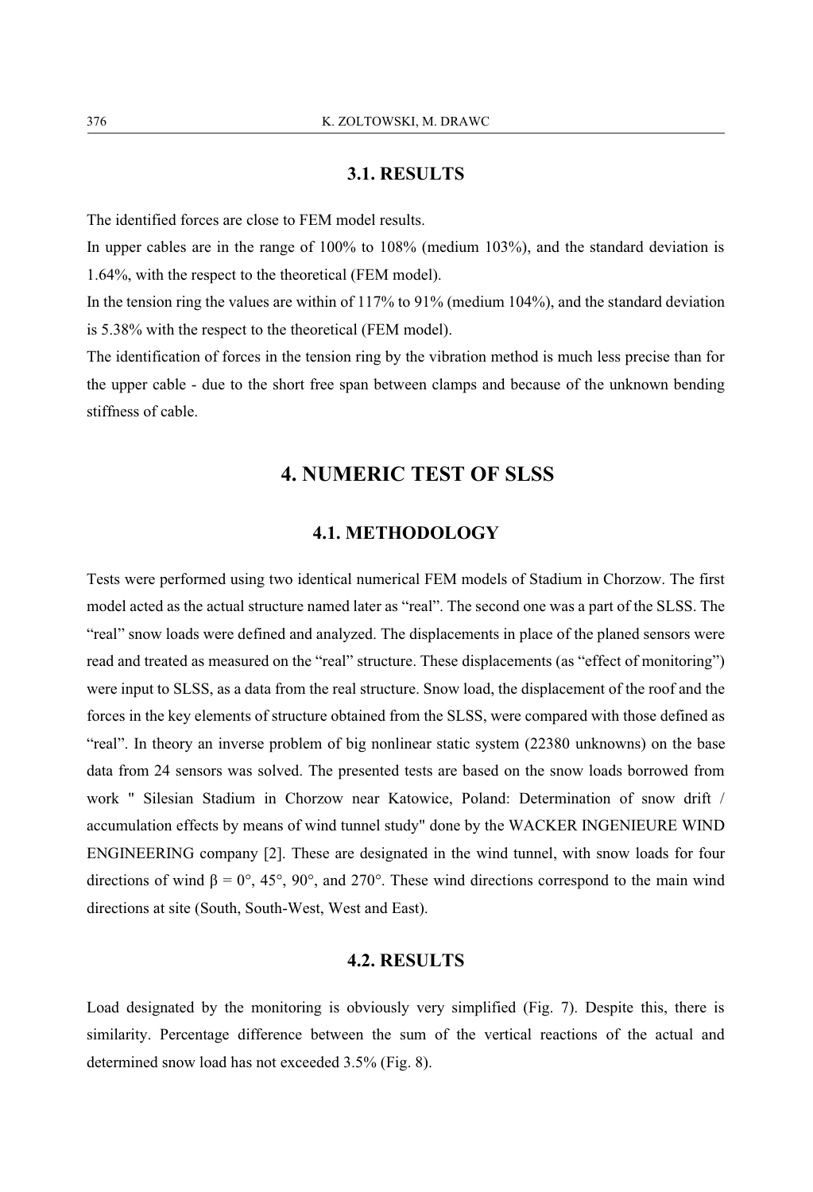#### 3.1. RESULTS

The identified forces are close to FEM model results.

In upper cables are in the range of 100% to 108% (medium 103%), and the standard deviation is 1.64%, with the respect to the theoretical (FEM model).

In the tension ring the values are within of 117% to 91% (medium  $104\%$ ), and the standard deviation is 5.38% with the respect to the theoretical (FEM model).

The identification of forces in the tension ring by the vibration method is much less precise than for the upper cable - due to the short free span between clamps and because of the unknown bending stiffness of cable.

# **4. NUMERIC TEST OF SLSS**

#### **4.1. METHODOLOGY**

Tests were performed using two identical numerical FEM models of Stadium in Chorzow. The first model acted as the actual structure named later as "real". The second one was a part of the SLSS. The "real" snow loads were defined and analyzed. The displacements in place of the planed sensors were read and treated as measured on the "real" structure. These displacements (as "effect of monitoring") were input to SLSS, as a data from the real structure. Snow load, the displacement of the roof and the forces in the key elements of structure obtained from the SLSS, were compared with those defined as "real". In theory an inverse problem of big nonlinear static system (22380 unknowns) on the base data from 24 sensors was solved. The presented tests are based on the snow loads borrowed from work " Silesian Stadium in Chorzow near Katowice, Poland: Determination of snow drift / accumulation effects by means of wind tunnel study" done by the WACKER INGENIEURE WIND ENGINEERING company [2]. These are designated in the wind tunnel, with snow loads for four directions of wind  $\beta = 0^{\circ}$ , 45°, 90°, and 270°. These wind directions correspond to the main wind directions at site (South, South-West, West and East).

### **4.2. RESULTS**

Load designated by the monitoring is obviously very simplified (Fig. 7). Despite this, there is similarity. Percentage difference between the sum of the vertical reactions of the actual and determined snow load has not exceeded 3.5% (Fig. 8).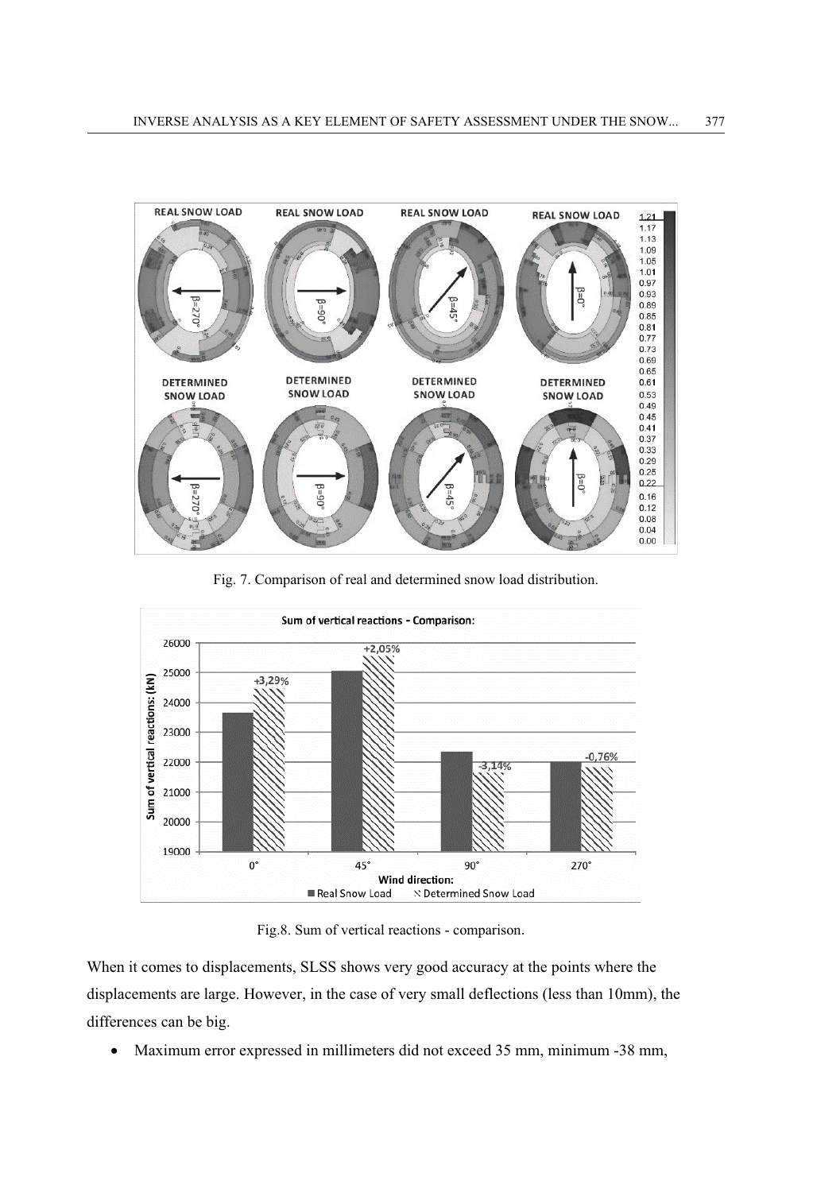

Fig. 7. Comparison of real and determined snow load distribution.



Fig.8. Sum of vertical reactions - comparison.

When it comes to displacements, SLSS shows very good accuracy at the points where the displacements are large. However, in the case of very small deflections (less than 10mm), the differences can be big.

Maximum error expressed in millimeters did not exceed 35 mm, minimum -38 mm,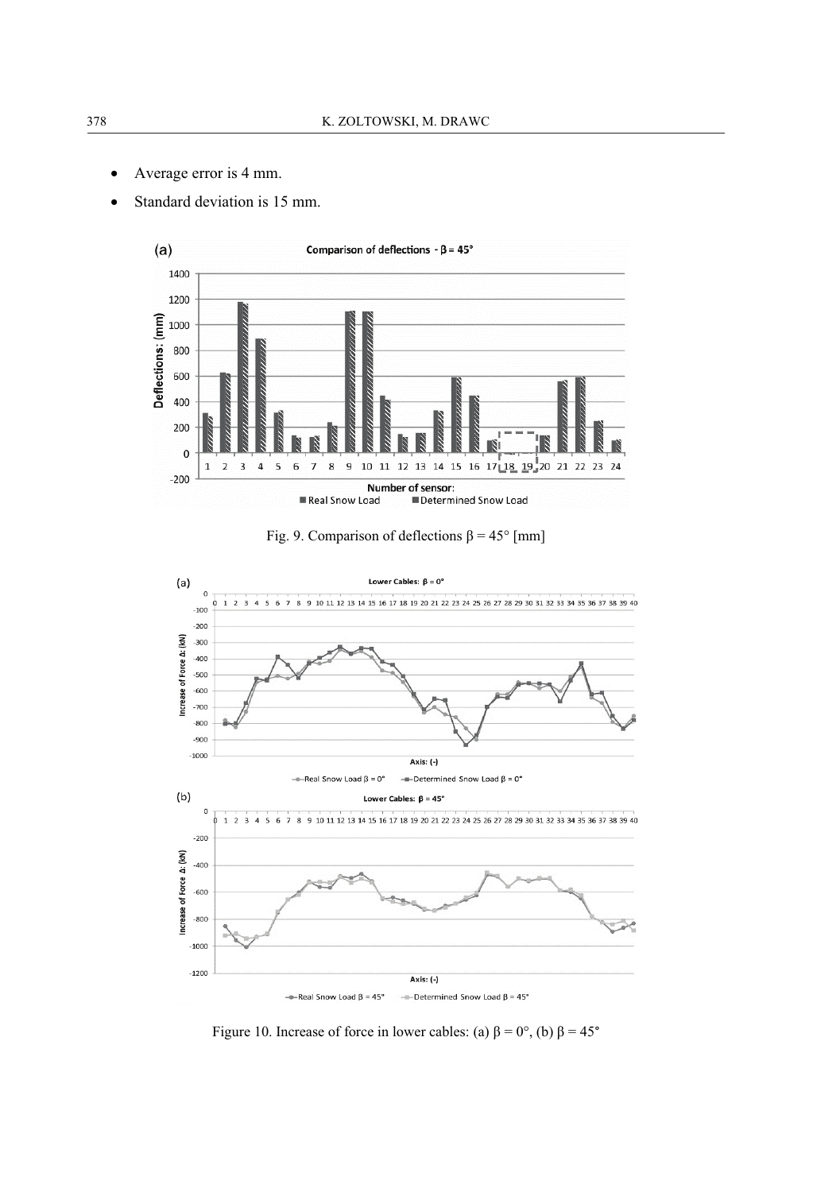- Average error is 4 mm.  $\bullet$
- Standard deviation is 15 mm.



Fig. 9. Comparison of deflections  $\beta = 45^{\circ}$  [mm]



Figure 10. Increase of force in lower cables: (a)  $\beta = 0^{\circ}$ , (b)  $\beta = 45^{\circ}$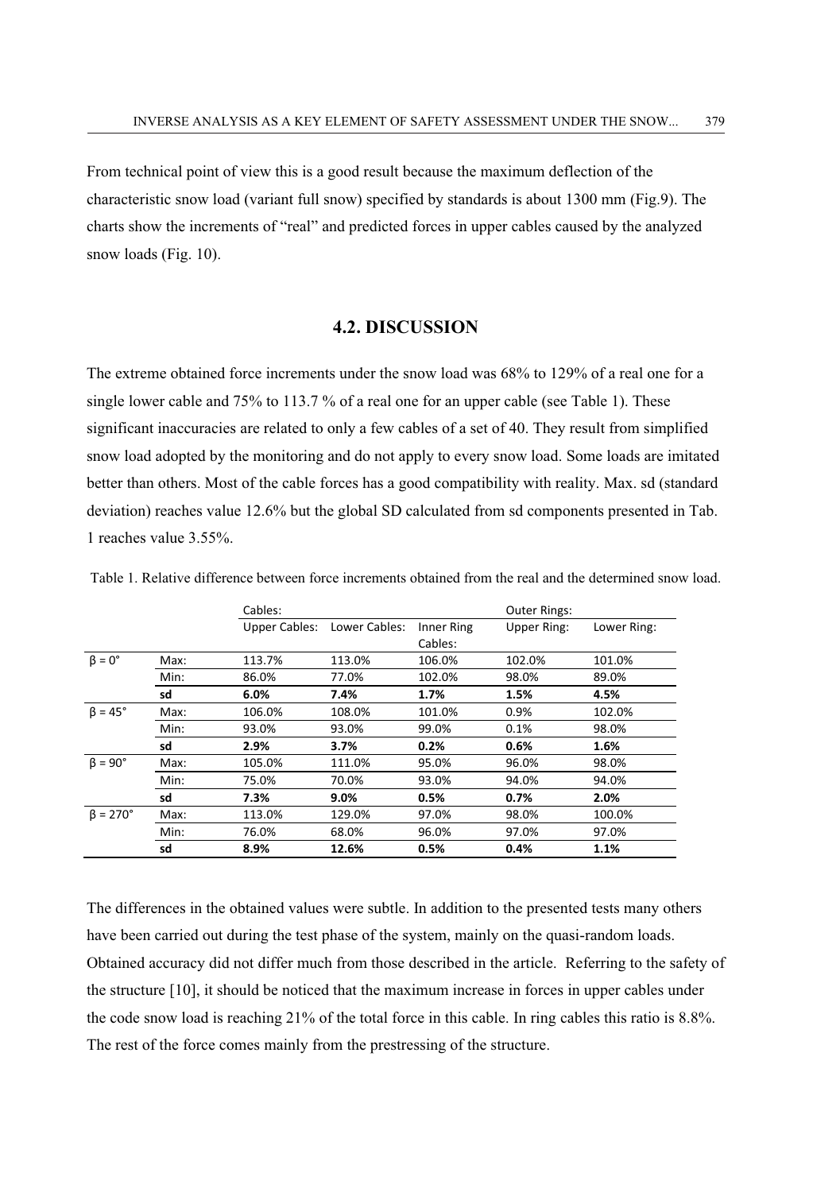From technical point of view this is a good result because the maximum deflection of the characteristic snow load (variant full snow) specified by standards is about 1300 mm (Fig.9). The charts show the increments of "real" and predicted forces in upper cables caused by the analyzed snow loads (Fig.  $10$ ).

#### **4.2. DISCUSSION**

The extreme obtained force increments under the snow load was 68% to 129% of a real one for a single lower cable and  $75\%$  to  $113.7\%$  of a real one for an upper cable (see Table 1). These significant inaccuracies are related to only a few cables of a set of 40. They result from simplified snow load adopted by the monitoring and do not apply to every snow load. Some loads are imitated better than others. Most of the cable forces has a good compatibility with reality. Max. sd (standard deviation) reaches value 12.6% but the global SD calculated from sd components presented in Tab. 1 reaches value 3.55%

|                       |      | Cables:       |               |            | <b>Outer Rings:</b> |             |
|-----------------------|------|---------------|---------------|------------|---------------------|-------------|
|                       |      | Upper Cables: | Lower Cables: | Inner Ring | <b>Upper Ring:</b>  | Lower Ring: |
|                       |      |               |               | Cables:    |                     |             |
| $\beta = 0^\circ$     | Max: | 113.7%        | 113.0%        | 106.0%     | 102.0%              | 101.0%      |
|                       | Min: | 86.0%         | 77.0%         | 102.0%     | 98.0%               | 89.0%       |
|                       | sd   | 6.0%          | 7.4%          | 1.7%       | 1.5%                | 4.5%        |
| $\beta = 45^\circ$    | Max: | 106.0%        | 108.0%        | 101.0%     | 0.9%                | 102.0%      |
|                       | Min: | 93.0%         | 93.0%         | 99.0%      | 0.1%                | 98.0%       |
|                       | sd   | 2.9%          | 3.7%          | 0.2%       | 0.6%                | 1.6%        |
| $\beta = 90^\circ$    | Max: | 105.0%        | 111.0%        | 95.0%      | 96.0%               | 98.0%       |
|                       | Min: | 75.0%         | 70.0%         | 93.0%      | 94.0%               | 94.0%       |
|                       | sd   | 7.3%          | 9.0%          | 0.5%       | 0.7%                | 2.0%        |
| $\beta = 270^{\circ}$ | Max: | 113.0%        | 129.0%        | 97.0%      | 98.0%               | 100.0%      |
|                       | Min: | 76.0%         | 68.0%         | 96.0%      | 97.0%               | 97.0%       |
|                       | sd   | 8.9%          | 12.6%         | 0.5%       | 0.4%                | 1.1%        |

Table 1. Relative difference between force increments obtained from the real and the determined snow load.

The differences in the obtained values were subtle. In addition to the presented tests many others have been carried out during the test phase of the system, mainly on the quasi-random loads. Obtained accuracy did not differ much from those described in the article. Referring to the safety of the structure [10], it should be noticed that the maximum increase in forces in upper cables under the code snow load is reaching 21% of the total force in this cable. In ring cables this ratio is 8.8%. The rest of the force comes mainly from the prestressing of the structure.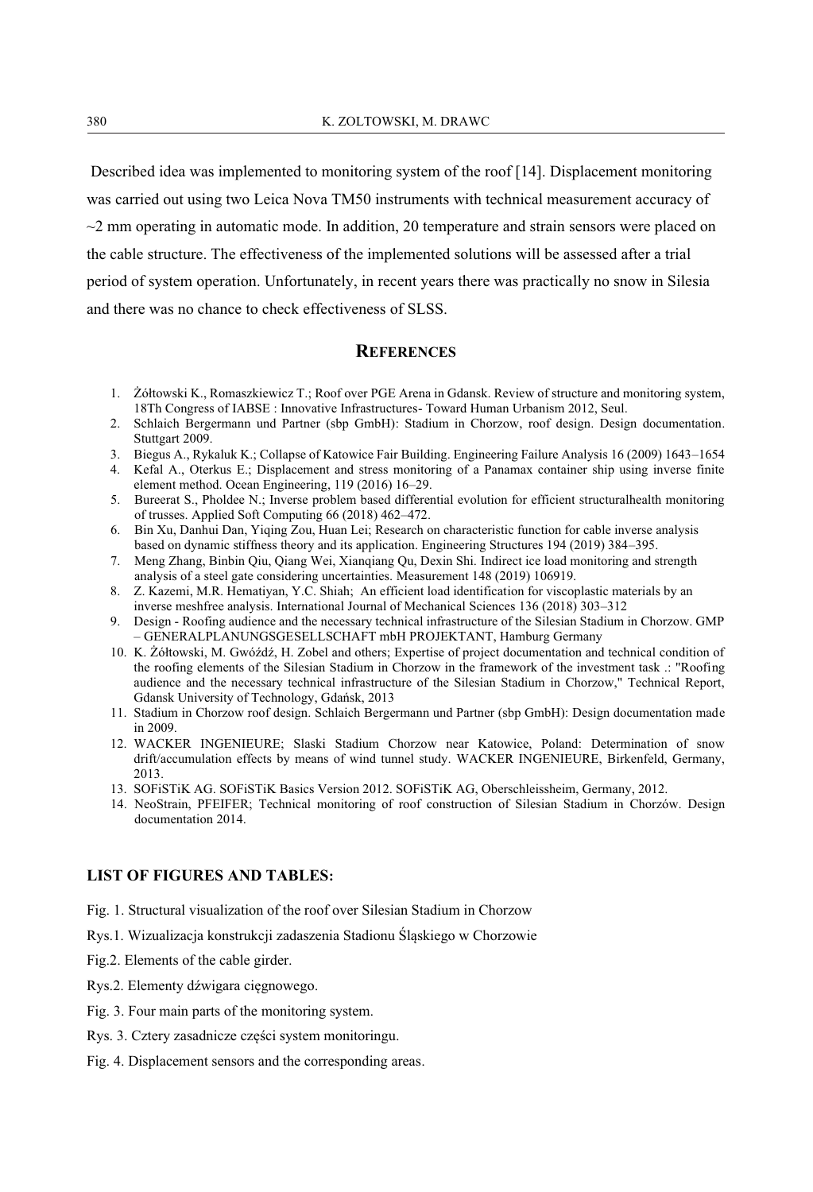Described idea was implemented to monitoring system of the roof [14]. Displacement monitoring was carried out using two Leica Nova TM50 instruments with technical measurement accuracy of  $\sim$ 2 mm operating in automatic mode. In addition, 20 temperature and strain sensors were placed on the cable structure. The effectiveness of the implemented solutions will be assessed after a trial period of system operation. Unfortunately, in recent years there was practically no snow in Silesia and there was no chance to check effectiveness of SLSS.

#### **REFERENCES**

- 1. Żółtowski K., Romaszkiewicz T.; Roof over PGE Arena in Gdansk. Review of structure and monitoring system, 18Th Congress of IABSE : Innovative Infrastructures- Toward Human Urbanism 2012, Seul.
- 2. Schlaich Bergermann und Partner (sbp GmbH): Stadium in Chorzow, roof design. Design documentation. Stuttgart 2009.
- 3. Biegus A., Rykaluk K.; Collapse of Katowice Fair Building. Engineering Failure Analysis 16 (2009) 1643-1654
- 4. Kefal A., Oterkus E.; Displacement and stress monitoring of a Panamax container ship using inverse finite element method. Ocean Engineering, 119 (2016) 16–29.
- 5. Bureerat S., Pholdee N.; Inverse problem based differential evolution for efficient structuralhealth monitoring of trusses. Applied Soft Computing 66 (2018) 462-472.
- 6. Bin Xu, Danhui Dan, Yiqing Zou, Huan Lei; Research on characteristic function for cable inverse analysis based on dynamic stiffness theory and its application. Engineering Structures 194 (2019) 384-395.
- 7. Meng Zhang, Binbin Qiu, Qiang Wei, Xiangiang Qu, Dexin Shi. Indirect ice load monitoring and strength analysis of a steel gate considering uncertainties. Measurement 148 (2019) 106919.
- 8. Z. Kazemi, M.R. Hematiyan, Y.C. Shiah; An efficient load identification for viscoplastic materials by an inverse meshfree analysis. International Journal of Mechanical Sciences 136 (2018) 303–312
- 9. Design Roofing audience and the necessary technical infrastructure of the Silesian Stadium in Chorzow. GMP - GENERALPLANUNGSGESELLSCHAFT mbH PROJEKTANT, Hamburg Germany
- 10. K. Żółtowski, M. Gwóźdź, H. Zobel and others; Expertise of project documentation and technical condition of the roofing elements of the Silesian Stadium in Chorzow in the framework of the investment task : "Roofing" audience and the necessary technical infrastructure of the Silesian Stadium in Chorzow," Technical Report, Gdansk University of Technology, Gdańsk, 2013
- 11. Stadium in Chorzow roof design. Schlaich Bergermann und Partner (sbp GmbH): Design documentation made in  $2009$
- 12. WACKER INGENIEURE: Slaski Stadium Chorzow near Katowice. Poland: Determination of snow drift/accumulation effects by means of wind tunnel study. WACKER INGENIEURE, Birkenfeld, Germany, 2013
- 13. SOFISTIK AG. SOFISTIK Basics Version 2012. SOFISTIK AG, Oberschleissheim, Germany, 2012.
- 14. NeoStrain, PFEIFER; Technical monitoring of roof construction of Silesian Stadium in Chorzów. Design documentation 2014.

#### **LIST OF FIGURES AND TABLES:**

- Fig. 1. Structural visualization of the roof over Silesian Stadium in Chorzow
- Rys.1. Wizualizacja konstrukcji zadaszenia Stadionu Śląskiego w Chorzowie
- Fig.2. Elements of the cable girder.
- Rys.2. Elementy dźwigara cięgnowego.
- Fig. 3. Four main parts of the monitoring system.
- Rys. 3. Cztery zasadnicze części system monitoringu.
- Fig. 4. Displacement sensors and the corresponding areas.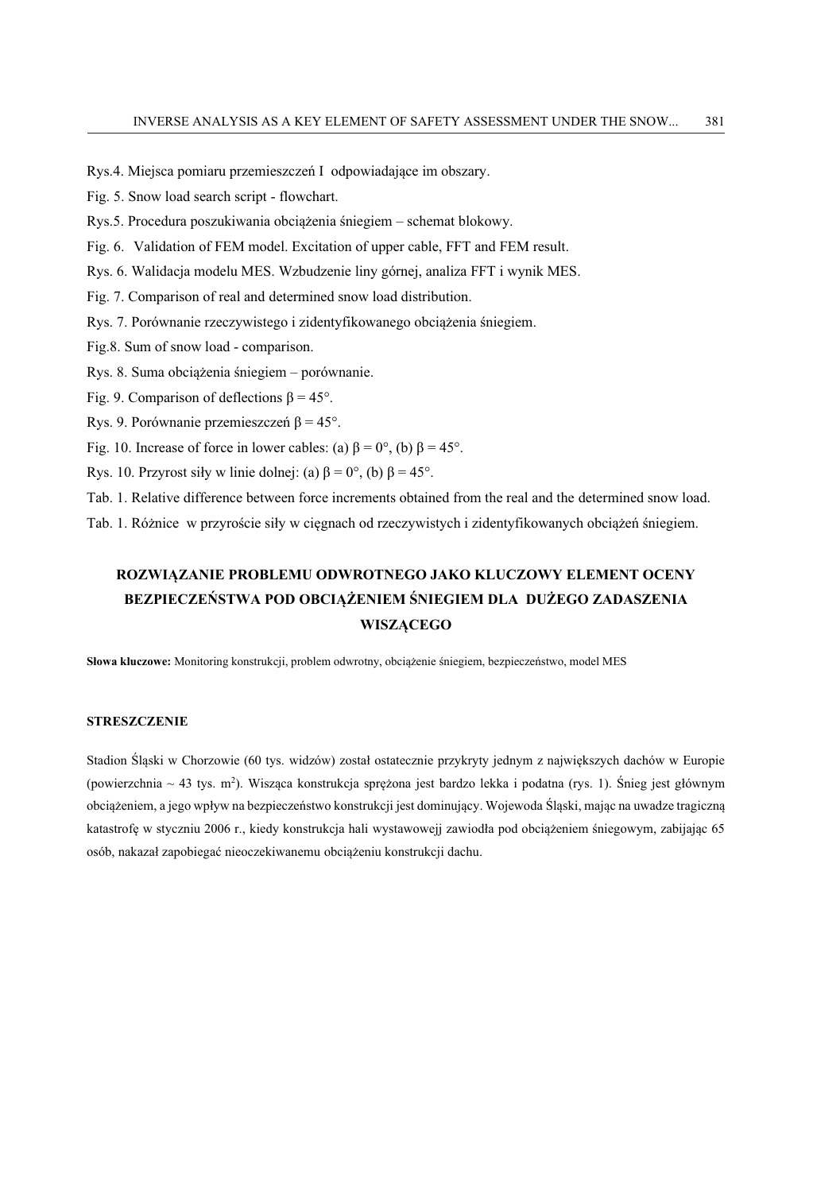Rys.4. Miejsca pomiaru przemieszczeń I odpowiadające im obszary.

Fig. 5. Snow load search script - flowchart.

Rys.5. Procedura poszukiwania obciążenia śniegiem – schemat blokowy.

Fig. 6. Validation of FEM model. Excitation of upper cable, FFT and FEM result.

Rys. 6. Walidacja modelu MES. Wzbudzenie liny górnej, analiza FFT i wynik MES.

Fig. 7. Comparison of real and determined snow load distribution.

Rys. 7. Porównanie rzeczywistego i zidentyfikowanego obciążenia śniegiem.

Fig.8. Sum of snow load - comparison.

Rys. 8. Suma obciążenia śniegiem – porównanie.

Fig. 9. Comparison of deflections  $\beta = 45^{\circ}$ .

Rys. 9. Porównanie przemieszczeń  $\beta = 45^{\circ}$ .

Fig. 10. Increase of force in lower cables: (a)  $\beta = 0^{\circ}$ , (b)  $\beta = 45^{\circ}$ .

Rys. 10. Przyrost siły w linie dolnej: (a)  $\beta = 0^{\circ}$ , (b)  $\beta = 45^{\circ}$ .

Tab. 1. Relative difference between force increments obtained from the real and the determined snow load.

Tab. 1. Różnice w przyroście siły w cięgnach od rzeczywistych i zidentyfikowanych obciążeń śniegiem.

# ROZWIĄZANIE PROBLEMU ODWROTNEGO JAKO KLUCZOWY ELEMENT OCENY BEZPIECZEŃSTWA POD OBCIAŻENIEM ŚNIEGIEM DLA DUŻEGO ZADASZENIA **WISZACEGO**

Słowa kluczowe: Monitoring konstrukcji, problem odwrotny, obciążenie śniegiem, bezpieczeństwo, model MES

#### **STRESZCZENIE**

Stadion Śląski w Chorzowie (60 tys. widzów) został ostatecznie przykryty jednym z największych dachów w Europie (powierzchnia ~ 43 tys. m<sup>2</sup>). Wisząca konstrukcja sprężona jest bardzo lekka i podatna (rys. 1). Śnieg jest głównym obciążeniem, a jego wpływ na bezpieczeństwo konstrukcji jest dominujący. Wojewoda Śląski, mając na uwadze tragiczną katastrofę w styczniu 2006 r., kiedy konstrukcja hali wystawowejj zawiodła pod obciążeniem śniegowym, zabijając 65 osób, nakazał zapobiegać nieoczekiwanemu obciążeniu konstrukcji dachu.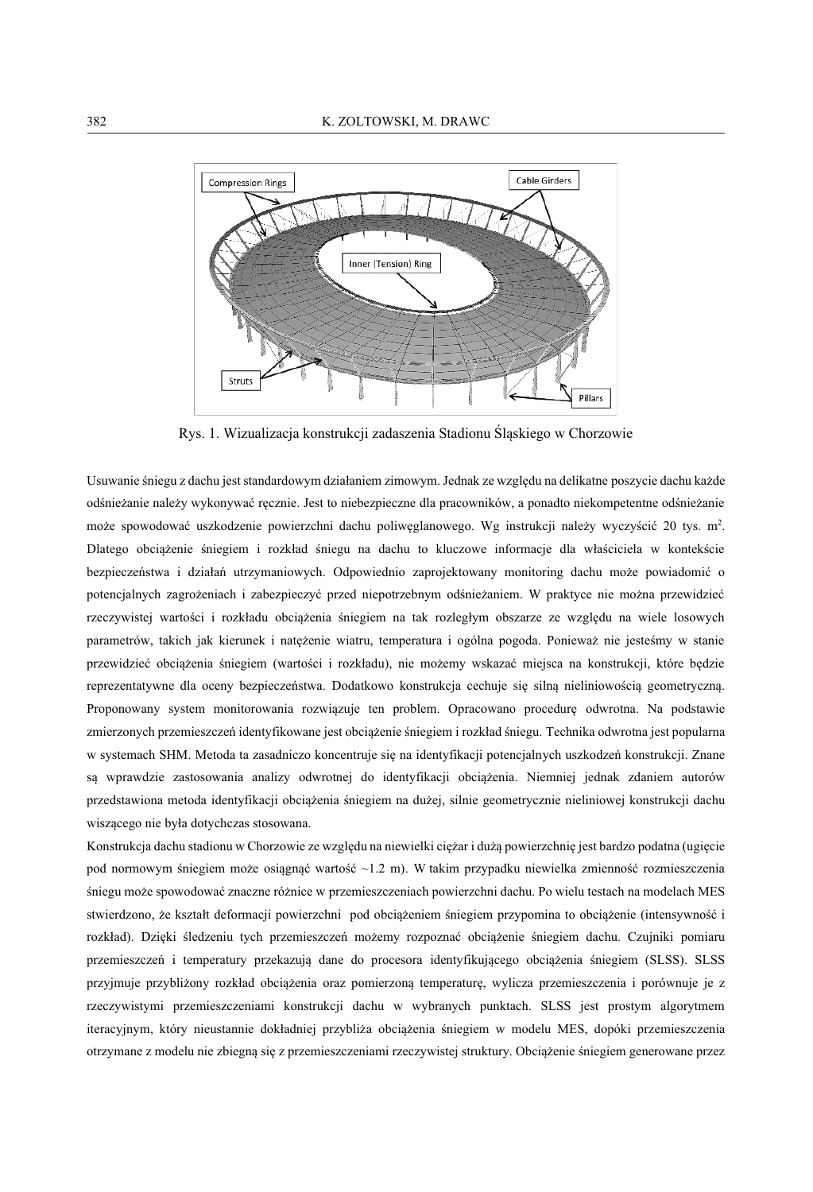

Rys. 1. Wizualizacja konstrukcji zadaszenia Stadionu Śląskiego w Chorzowie

Usuwanie śniegu z dachu jest standardowym działaniem zimowym. Jednak ze względu na delikatne poszycie dachu każde odśnieżanie należy wykonywać ręcznie. Jest to niebezpieczne dla pracowników, a ponadto niekompetentne odśnieżanie może spowodować uszkodzenie powierzchni dachu poliwęglanowego. Wg instrukcji należy wyczyścić 20 tys. m<sup>2</sup>. Dlatego obciążenie śniegiem i rozkład śniegu na dachu to kluczowe informacje dla właściciela w kontekście bezpieczeństwa i działań utrzymaniowych. Odpowiednio zaprojektowany monitoring dachu może powiadomić o potencjalnych zagrożeniach i zabezpieczyć przed niepotrzebnym odśnieżaniem. W praktyce nie można przewidzieć rzeczywistej wartości i rozkładu obciażenia śniegiem na tak rozległym obszarze ze wzgledu na wiele losowych parametrów, takich jak kierunek i nateżenie wiatru, temperatura i ogólna pogoda. Ponieważ nie jesteśmy w stanie przewidzieć obciążenia śniegiem (wartości i rozkładu), nie możemy wskazać miejsca na konstrukcji, które będzie reprezentatywne dla oceny bezpieczeństwa. Dodatkowo konstrukcja cechuje się silna nieliniowościa geometryczna. Proponowany system monitorowania rozwiazuje ten problem. Opracowano procedure odwrotna. Na podstawie zmierzonych przemieszczeń identyfikowane jest obciażenie śniegiem i rozkład śniegu. Technika odwrotna jest popularna w systemach SHM. Metoda ta zasadniczo koncentruje się na identyfikacji potencjalnych uszkodzeń konstrukcji. Znane sa wprawdzie zastosowania analizy odwrotnej do identyfikacji obciażenia. Niemniej jednak zdaniem autorów przedstawiona metoda identyfikacji obciażenia śniegiem na dużej, silnie geometrycznie nieliniowej konstrukcji dachu wiszącego nie była dotychczas stosowana.

Konstrukcja dachu stadionu w Chorzowie ze względu na niewielki ciężar i dużą powierzchnię jest bardzo podatna (ugięcie pod normowym śniegiem może osiągnąć wartość ~1.2 m). W takim przypadku niewielka zmienność rozmieszczenia śniegu może spowodować znaczne różnice w przemieszczeniach powierzchni dachu. Po wielu testach na modelach MES stwierdzono, że kształt deformacji powierzchni pod obciążeniem śniegiem przypomina to obciążenie (intensywność i rozkład). Dzięki śledzeniu tych przemieszczeń możemy rozpoznać obciążenie śniegiem dachu. Czujniki pomiaru przemieszczeń i temperatury przekazują dane do procesora identyfikującego obciążenia śniegiem (SLSS). SLSS przyjmuje przybliżony rozkład obciążenia oraz pomierzoną temperaturę, wylicza przemieszczenia i porównuje je z rzeczywistymi przemieszczeniami konstrukcji dachu w wybranych punktach. SLSS jest prostym algorytmem iteracyjnym, który nieustannie dokładniej przybliża obciążenia śniegiem w modelu MES, dopóki przemieszczenia otrzymane z modelu nie zbiegną się z przemieszczeniami rzeczywistej struktury. Obciążenie śniegiem generowane przez